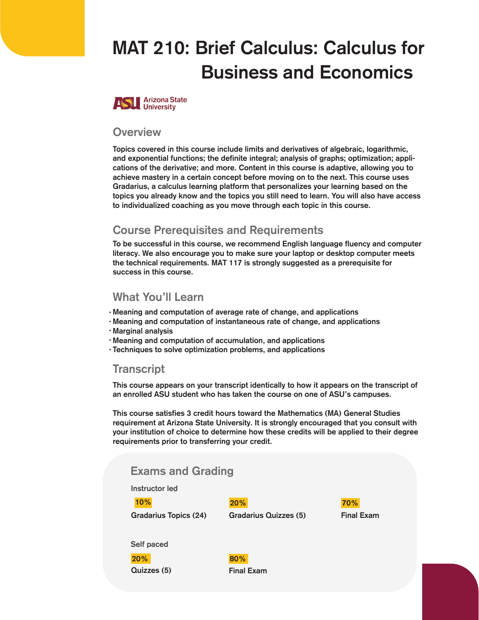# MAT 210: Brief Calculus: Calculus for Business and Economics



#### **Overview**

Topics covered in this course include limits and derivatives of algebraic, logarithmic, and exponential functions; the definite integral; analysis of graphs; optimization; applications of the derivative; and more. Content in this course is adaptive, allowing you to achieve mastery in a certain concept before moving on to the next. This course uses Gradarius, a calculus learning platform that personalizes your learning based on the topics you already know and the topics you still need to learn. You will also have access to individualized coaching as you move through each topic in this course.

# Course Prerequisites and Requirements

To be successful in this course, we recommend English language fluency and computer literacy. We also encourage you to make sure your laptop or desktop computer meets the technical requirements. MAT 117 is strongly suggested as a prerequisite for success in this course.

# What You'll Learn

- Meaning and computation of average rate of change, and applications •
- Meaning and computation of instantaneous rate of change, and applications •
- Marginal analysis •
- Meaning and computation of accumulation, and applications •
- Techniques to solve optimization problems, and applications •

#### **Transcript**

This course appears on your transcript identically to how it appears on the transcript of an enrolled ASU student who has taken the course on one of ASU's campuses.

This course satisfies 3 credit hours toward the Mathematics (MA) General Studies requirement at Arizona State University. It is strongly encouraged that you consult with your institution of choice to determine how these credits will be applied to their degree requirements prior to transferring your credit.